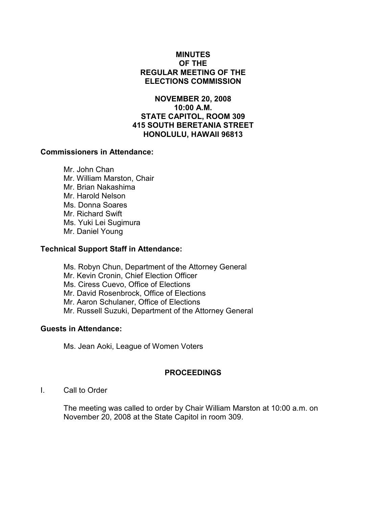# MINUTES OF THE REGULAR MEETING OF THE ELECTIONS COMMISSION

NOVEMBER 20, 2008 10:00 A.M. STATE CAPITOL, ROOM 309 415 SOUTH BERETANIA STREET HONOLULU, HAWAII 96813

## Commissioners in Attendance:

 Mr. John Chan Mr. William Marston, Chair Mr. Brian Nakashima Mr. Harold Nelson Ms. Donna Soares Mr. Richard Swift Ms. Yuki Lei Sugimura Mr. Daniel Young

### Technical Support Staff in Attendance:

Ms. Robyn Chun, Department of the Attorney General Mr. Kevin Cronin, Chief Election Officer Ms. Ciress Cuevo, Office of Elections Mr. David Rosenbrock, Office of Elections Mr. Aaron Schulaner, Office of Elections Mr. Russell Suzuki, Department of the Attorney General

### Guests in Attendance:

Ms. Jean Aoki, League of Women Voters

# PROCEEDINGS

I. Call to Order

The meeting was called to order by Chair William Marston at 10:00 a.m. on November 20, 2008 at the State Capitol in room 309.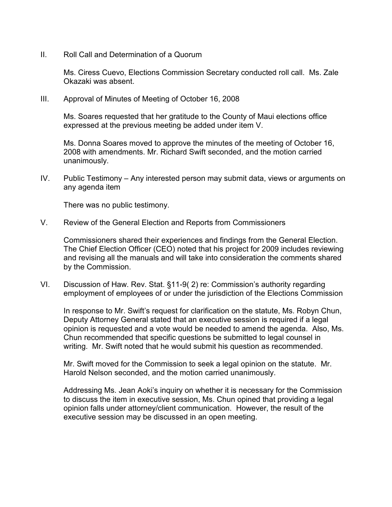II. Roll Call and Determination of a Quorum

Ms. Ciress Cuevo, Elections Commission Secretary conducted roll call. Ms. Zale Okazaki was absent.

III. Approval of Minutes of Meeting of October 16, 2008

Ms. Soares requested that her gratitude to the County of Maui elections office expressed at the previous meeting be added under item V.

Ms. Donna Soares moved to approve the minutes of the meeting of October 16, 2008 with amendments. Mr. Richard Swift seconded, and the motion carried unanimously.

IV. Public Testimony – Any interested person may submit data, views or arguments on any agenda item

There was no public testimony.

V. Review of the General Election and Reports from Commissioners

Commissioners shared their experiences and findings from the General Election. The Chief Election Officer (CEO) noted that his project for 2009 includes reviewing and revising all the manuals and will take into consideration the comments shared by the Commission.

VI. Discussion of Haw. Rev. Stat. §11-9( 2) re: Commission's authority regarding employment of employees of or under the jurisdiction of the Elections Commission

In response to Mr. Swift's request for clarification on the statute, Ms. Robyn Chun, Deputy Attorney General stated that an executive session is required if a legal opinion is requested and a vote would be needed to amend the agenda. Also, Ms. Chun recommended that specific questions be submitted to legal counsel in writing. Mr. Swift noted that he would submit his question as recommended.

Mr. Swift moved for the Commission to seek a legal opinion on the statute. Mr. Harold Nelson seconded, and the motion carried unanimously.

Addressing Ms. Jean Aoki's inquiry on whether it is necessary for the Commission to discuss the item in executive session, Ms. Chun opined that providing a legal opinion falls under attorney/client communication. However, the result of the executive session may be discussed in an open meeting.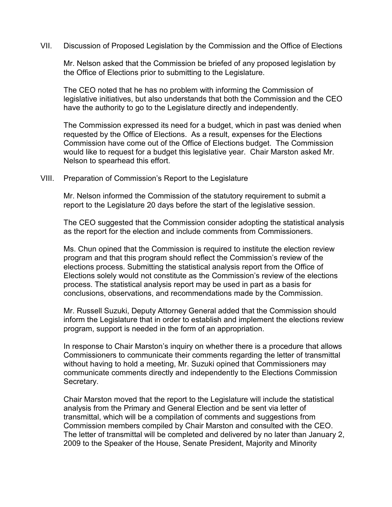VII. Discussion of Proposed Legislation by the Commission and the Office of Elections

Mr. Nelson asked that the Commission be briefed of any proposed legislation by the Office of Elections prior to submitting to the Legislature.

The CEO noted that he has no problem with informing the Commission of legislative initiatives, but also understands that both the Commission and the CEO have the authority to go to the Legislature directly and independently.

The Commission expressed its need for a budget, which in past was denied when requested by the Office of Elections. As a result, expenses for the Elections Commission have come out of the Office of Elections budget. The Commission would like to request for a budget this legislative year. Chair Marston asked Mr. Nelson to spearhead this effort.

#### VIII. Preparation of Commission's Report to the Legislature

Mr. Nelson informed the Commission of the statutory requirement to submit a report to the Legislature 20 days before the start of the legislative session.

The CEO suggested that the Commission consider adopting the statistical analysis as the report for the election and include comments from Commissioners.

Ms. Chun opined that the Commission is required to institute the election review program and that this program should reflect the Commission's review of the elections process. Submitting the statistical analysis report from the Office of Elections solely would not constitute as the Commission's review of the elections process. The statistical analysis report may be used in part as a basis for conclusions, observations, and recommendations made by the Commission.

Mr. Russell Suzuki, Deputy Attorney General added that the Commission should inform the Legislature that in order to establish and implement the elections review program, support is needed in the form of an appropriation.

In response to Chair Marston's inquiry on whether there is a procedure that allows Commissioners to communicate their comments regarding the letter of transmittal without having to hold a meeting, Mr. Suzuki opined that Commissioners may communicate comments directly and independently to the Elections Commission Secretary.

Chair Marston moved that the report to the Legislature will include the statistical analysis from the Primary and General Election and be sent via letter of transmittal, which will be a compilation of comments and suggestions from Commission members compiled by Chair Marston and consulted with the CEO. The letter of transmittal will be completed and delivered by no later than January 2, 2009 to the Speaker of the House, Senate President, Majority and Minority